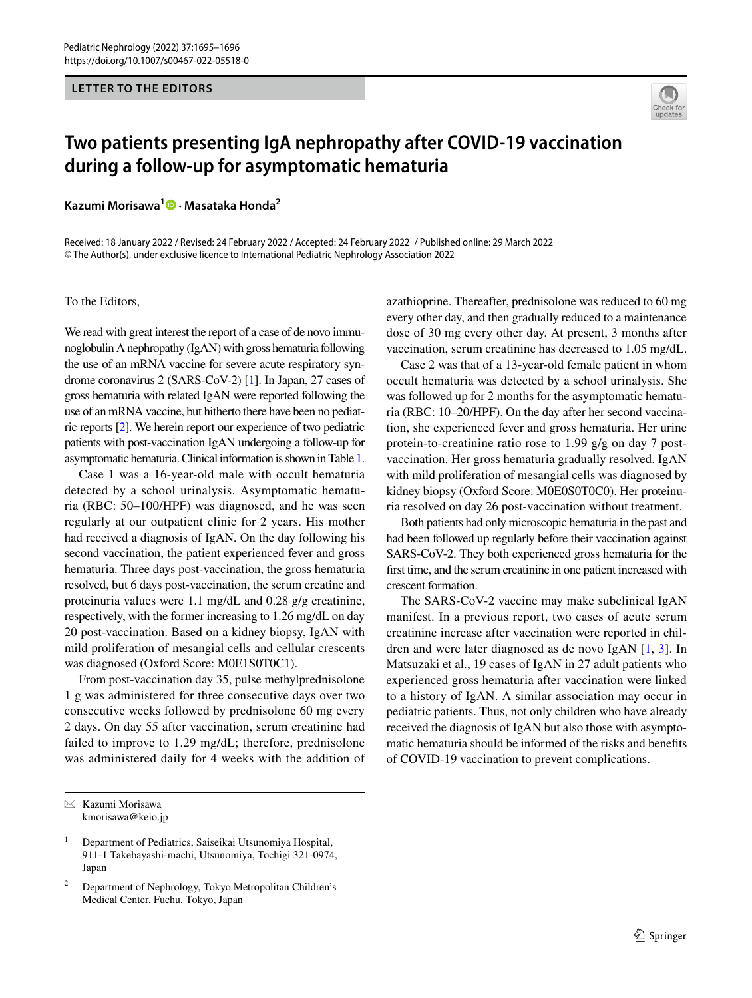## **LETTER TO THE EDITORS**



## **Two patients presenting IgA nephropathy after COVID‑19 vaccination during a follow‑up for asymptomatic hematuria**

**Kazumi Morisawa1  [·](http://orcid.org/0000-0002-9842-1596) Masataka Honda2**

Received: 18 January 2022 / Revised: 24 February 2022 / Accepted: 24 February 2022 / Published online: 29 March 2022© The Author(s), under exclusive licence to International Pediatric Nephrology Association 2022

To the Editors,

We read with great interest the report of a case of de novo immunoglobulin A nephropathy (IgAN) with gross hematuria following the use of an mRNA vaccine for severe acute respiratory syndrome coronavirus 2 (SARS-CoV-2) [\[1\]](#page-1-0). In Japan, 27 cases of gross hematuria with related IgAN were reported following the use of an mRNA vaccine, but hitherto there have been no pediatric reports [[2](#page-1-1)]. We herein report our experience of two pediatric patients with post-vaccination IgAN undergoing a follow-up for asymptomatic hematuria. Clinical information is shown in Table [1.](#page-1-2)

Case 1 was a 16-year-old male with occult hematuria detected by a school urinalysis. Asymptomatic hematuria (RBC: 50–100/HPF) was diagnosed, and he was seen regularly at our outpatient clinic for 2 years. His mother had received a diagnosis of IgAN. On the day following his second vaccination, the patient experienced fever and gross hematuria. Three days post-vaccination, the gross hematuria resolved, but 6 days post-vaccination, the serum creatine and proteinuria values were 1.1 mg/dL and 0.28 g/g creatinine, respectively, with the former increasing to 1.26 mg/dL on day 20 post-vaccination. Based on a kidney biopsy, IgAN with mild proliferation of mesangial cells and cellular crescents was diagnosed (Oxford Score: M0E1S0T0C1).

From post-vaccination day 35, pulse methylprednisolone 1 g was administered for three consecutive days over two consecutive weeks followed by prednisolone 60 mg every 2 days. On day 55 after vaccination, serum creatinine had failed to improve to 1.29 mg/dL; therefore, prednisolone was administered daily for 4 weeks with the addition of azathioprine. Thereafter, prednisolone was reduced to 60 mg every other day, and then gradually reduced to a maintenance dose of 30 mg every other day. At present, 3 months after vaccination, serum creatinine has decreased to 1.05 mg/dL.

Case 2 was that of a 13-year-old female patient in whom occult hematuria was detected by a school urinalysis. She was followed up for 2 months for the asymptomatic hematuria (RBC: 10–20/HPF). On the day after her second vaccination, she experienced fever and gross hematuria. Her urine protein-to-creatinine ratio rose to 1.99 g/g on day 7 postvaccination. Her gross hematuria gradually resolved. IgAN with mild proliferation of mesangial cells was diagnosed by kidney biopsy (Oxford Score: M0E0S0T0C0). Her proteinuria resolved on day 26 post-vaccination without treatment.

Both patients had only microscopic hematuria in the past and had been followed up regularly before their vaccination against SARS-CoV-2. They both experienced gross hematuria for the frst time, and the serum creatinine in one patient increased with crescent formation.

The SARS-CoV-2 vaccine may make subclinical IgAN manifest. In a previous report, two cases of acute serum creatinine increase after vaccination were reported in children and were later diagnosed as de novo IgAN [[1](#page-1-0), [3\]](#page-1-3). In Matsuzaki et al., 19 cases of IgAN in 27 adult patients who experienced gross hematuria after vaccination were linked to a history of IgAN. A similar association may occur in pediatric patients. Thus, not only children who have already received the diagnosis of IgAN but also those with asymptomatic hematuria should be informed of the risks and benefts of COVID-19 vaccination to prevent complications.

 $\boxtimes$  Kazumi Morisawa kmorisawa@keio.jp

<sup>&</sup>lt;sup>1</sup> Department of Pediatrics, Saiseikai Utsunomiya Hospital, 911-1 Takebayashi-machi, Utsunomiya, Tochigi 321-0974, Japan

<sup>2</sup> Department of Nephrology, Tokyo Metropolitan Children's Medical Center, Fuchu, Tokyo, Japan